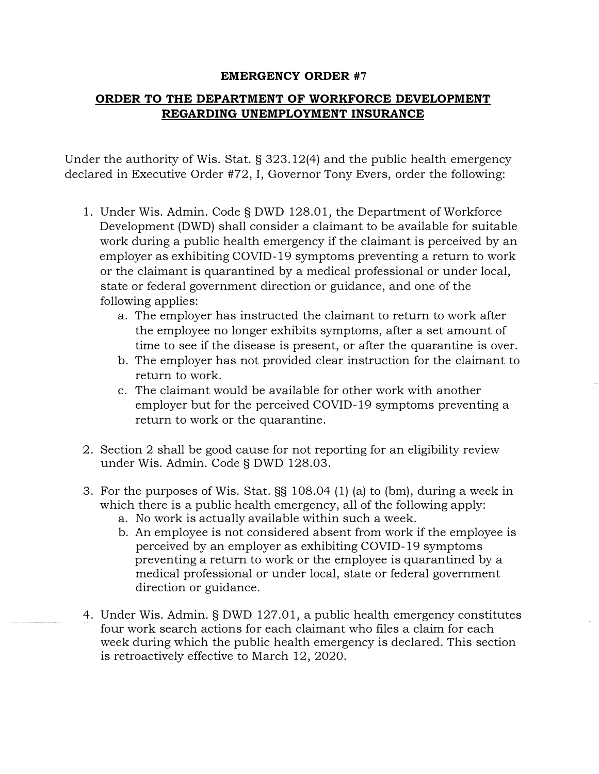## **EMERGENCY ORDER #7**

## **ORDER TO THE DEPARTMENT OF WORKFORCE DEVELOPMENT REGARDING UNEMPLOYMENT INSURANCE**

Under the authority of Wis. Stat. § 323.12(4) and the public health emergency declared in Executive Order #72, I, Governor Tony Evers, order the following:

- 1. Under Wis. Admin. Code§ DWD 128.01, the Department of Workforce Development (DWD) shall consider a claimant to be available for suitable work during a public health emergency if the claimant is perceived by an employer as exhibiting COVID-19 symptoms preventing a return to work or the claimant is quarantined by a medical professional or under local, state or federal government direction or guidance, and one of the following applies:
	- a. The employer has instructed the claimant to return to work after the employee no longer exhibits symptoms, after a set amount of time to see if the disease is present, or after the quarantine is over.
	- b. The employer has not provided clear instruction for the claimant to return to work.
	- c. The claimant would be available for other work with another employer but for the perceived COVID-19 symptoms preventing a return to work or the quarantine.
- 2. Section 2 shall be good cause for not reporting for an eligibility review under Wis. Admin. Code§ DWD 128.03.
- 3. For the purposes of Wis. Stat. §§ 108.04 (1) (a) to (bm), during a week in which there is a public health emergency, all of the following apply:
	- a. No work is actually available within such a week.
	- b. An employee is not considered absent from work if the employee is perceived by an employer as exhibiting COVID-19 symptoms preventing a return to work or the employee is quarantined by a medical professional or under local, state or federal government direction or guidance.
- 4. Under Wis. Admin. § DWD 127.01, a public health emergency constitutes four work search actions for each claimant who files a claim for each week during which the public health emergency is declared. This section is retroactively effective to March 12, 2020.